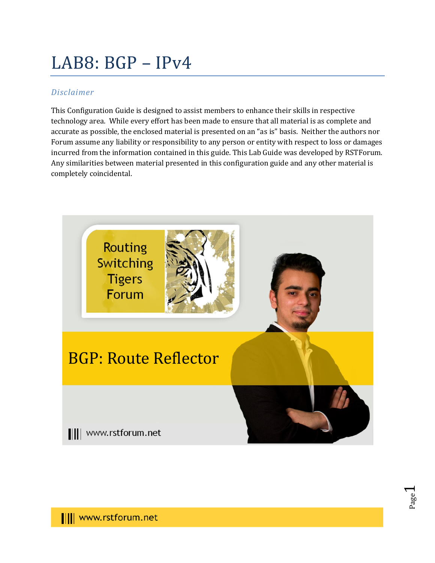# LAB8: BGP – IPv4

## *Disclaimer*

This Configuration Guide is designed to assist members to enhance their skills in respective technology area. While every effort has been made to ensure that all material is as complete and accurate as possible, the enclosed material is presented on an "as is" basis. Neither the authors nor Forum assume any liability or responsibility to any person or entity with respect to loss or damages incurred from the information contained in this guide. This Lab Guide was developed by RSTForum. Any similarities between material presented in this configuration guide and any other material is completely coincidental.



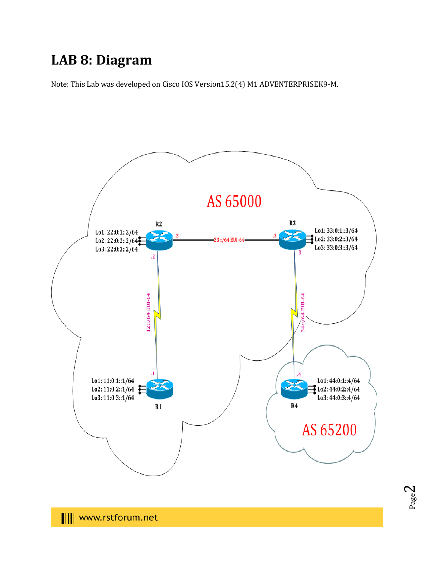## **LAB 8: Diagram**

Note: This Lab was developed on Cisco IOS Version15.2(4) M1 ADVENTERPRISEK9-M.



|||| www.rstforum.net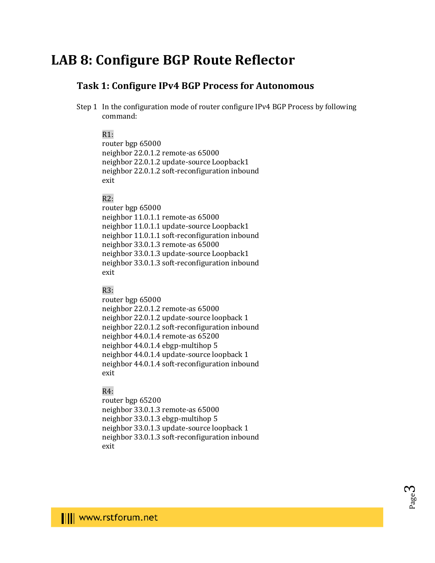## **LAB 8: Configure BGP Route Reflector**

### **Task 1: Configure IPv4 BGP Process for Autonomous**

Step 1 In the configuration mode of router configure IPv4 BGP Process by following command:

#### $R1:$

router bgp 65000 neighbor 22.0.1.2 remote-as 65000 neighbor 22.0.1.2 update-source Loopback1 neighbor 22.0.1.2 soft-reconfiguration inbound exit

#### R2:

router bgp 65000 neighbor 11.0.1.1 remote-as 65000 neighbor 11.0.1.1 update-source Loopback1 neighbor 11.0.1.1 soft-reconfiguration inbound neighbor 33.0.1.3 remote-as 65000 neighbor 33.0.1.3 update-source Loopback1 neighbor 33.0.1.3 soft-reconfiguration inbound exit

#### R3:

router bgp 65000 neighbor 22.0.1.2 remote-as 65000 neighbor 22.0.1.2 update-source loopback 1 neighbor 22.0.1.2 soft-reconfiguration inbound neighbor 44.0.1.4 remote-as 65200 neighbor 44.0.1.4 ebgp-multihop 5 neighbor 44.0.1.4 update-source loopback 1 neighbor 44.0.1.4 soft-reconfiguration inbound exit

#### R4:

router bgp 65200 neighbor 33.0.1.3 remote-as 65000 neighbor 33.0.1.3 ebgp-multihop 5 neighbor 33.0.1.3 update-source loopback 1 neighbor 33.0.1.3 soft-reconfiguration inbound exit

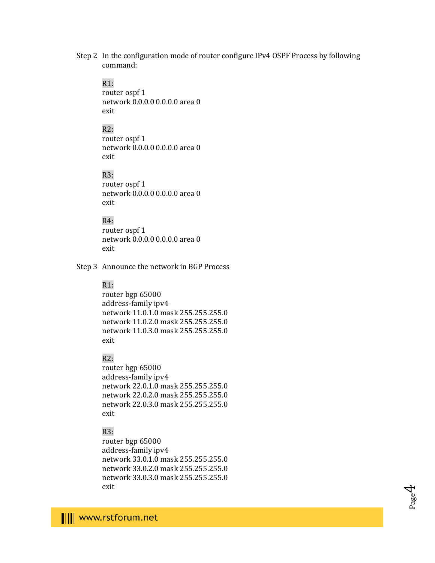Step 2 In the configuration mode of router configure IPv4 OSPF Process by following command:

#### $R1$ :

router ospf 1 network 0.0.0.0 0.0.0.0 area 0 exit

### R2:

router ospf 1 network 0.0.0.0 0.0.0.0 area 0 exit

#### R3:

router ospf 1 network 0.0.0.0 0.0.0.0 area 0 exit

#### R4:

router ospf 1 network 0.0.0.0 0.0.0.0 area 0 exit

Step 3 Announce the network in BGP Process

#### R1:

router bgp 65000 address-family ipv4 network 11.0.1.0 mask 255.255.255.0 network 11.0.2.0 mask 255.255.255.0 network 11.0.3.0 mask 255.255.255.0 exit

#### R2:

router bgp 65000 address-family ipv4 network 22.0.1.0 mask 255.255.255.0 network 22.0.2.0 mask 255.255.255.0 network 22.0.3.0 mask 255.255.255.0 exit

#### R3:

router bgp 65000 address-family ipv4 network 33.0.1.0 mask 255.255.255.0 network 33.0.2.0 mask 255.255.255.0 network 33.0.3.0 mask 255.255.255.0 exit

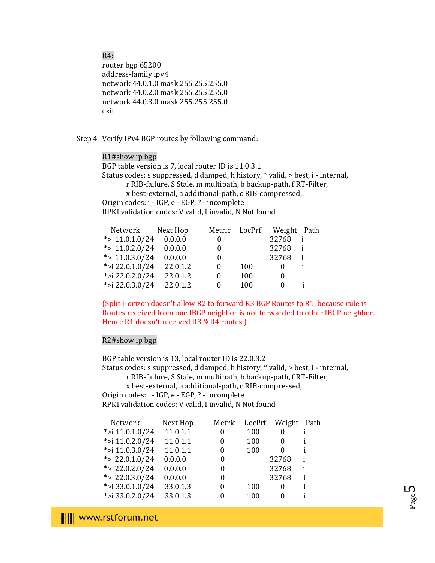R4:

router bgp 65200 address-family ipv4 network 44.0.1.0 mask 255.255.255.0 network 44.0.2.0 mask 255.255.255.0 network 44.0.3.0 mask 255.255.255.0 exit

Step 4 Verify IPv4 BGP routes by following command:

R1#show ip bgp BGP table version is 7, local router ID is 11.0.3.1 Status codes: s suppressed, d damped, h history, \* valid, > best, i - internal, r RIB-failure, S Stale, m multipath, b backup-path, f RT-Filter, x best-external, a additional-path, c RIB-compressed, Origin codes: i - IGP, e - EGP, ? - incomplete RPKI validation codes: V valid, I invalid, N Not found

| Network           | Next Hop | Metric   | LocPrf | Weight Path |  |
|-------------------|----------|----------|--------|-------------|--|
| * $> 11.0.1.0/24$ | 0.0.0.0  | $\theta$ |        | 32768       |  |
| * $> 11.0.2.0/24$ | 0.0.0.0  | $\theta$ |        | 32768       |  |
| * $> 11.0.3.0/24$ | 0.0.0.0  | 0        |        | 32768       |  |
| *>i 22.0.1.0/24   | 22.0.1.2 | 0        | 100    | $\theta$    |  |
| *>i 22.0.2.0/24   | 22.0.1.2 | 0        | 100    | $\theta$    |  |
| *>i 22.0.3.0/24   | 22.0.1.2 | 0        | 100    | $\Omega$    |  |
|                   |          |          |        |             |  |

(Split Horizon doesn't allow R2 to forward R3 BGP Routes to R1, because rule is Routes received from one IBGP neighbor is not forwarded to other IBGP neighbor. Hence R1 doesn't received R3 & R4 routes.)

#### R2#show ip bgp

BGP table version is 13, local router ID is 22.0.3.2 Status codes: s suppressed, d damped, h history, \* valid, > best, i - internal, r RIB-failure, S Stale, m multipath, b backup-path, f RT-Filter, x best-external, a additional-path, c RIB-compressed, Origin codes: i - IGP, e - EGP, ? - incomplete RPKI validation codes: V valid, I invalid, N Not found

| Network          | Next Hop | Metric |     | LocPrf Weight | Path |
|------------------|----------|--------|-----|---------------|------|
| *>i 11.0.1.0/24  | 11.0.1.1 | 0      | 100 | 0             |      |
| *>i 11.0.2.0/24  | 11.0.1.1 | 0      | 100 | $\theta$      |      |
| *>i 11.0.3.0/24  | 11.0.1.1 | 0      | 100 |               |      |
| *> $22.0.1.0/24$ | 0.0.0.0  | 0      |     | 32768         |      |
| *> $22.0.2.0/24$ | 0.0.0.0  | 0      |     | 32768         | i    |
| *> $22.0.3.0/24$ | 0.0.0.0  | 0      |     | 32768         | i    |
| *>i 33.0.1.0/24  | 33.0.1.3 | 0      | 100 | $\Omega$      | i    |
| *>i 33.0.2.0/24  | 33.0.1.3 | 0      | 100 |               |      |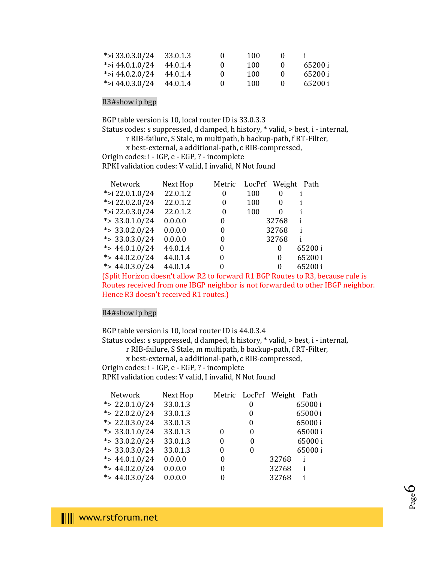| *>i 33.0.3.0/24 33.0.1.3 | $\mathbf{0}$ | 100 |              |         |
|--------------------------|--------------|-----|--------------|---------|
| *>i 44.0.1.0/24 44.0.1.4 | - 0          | 100 | $\mathbf{U}$ | 65200 i |
| *>i 44.0.2.0/24 44.0.1.4 | $\mathbf{u}$ | 100 | $\mathbf{U}$ | 65200 i |
| *>i 44.0.3.0/24 44.0.1.4 | $\mathbf{U}$ | 100 |              | 65200 i |

#### R3#show ip bgp

BGP table version is 10, local router ID is 33.0.3.3

Status codes: s suppressed, d damped, h history, \* valid, > best, i - internal,

r RIB-failure, S Stale, m multipath, b backup-path, f RT-Filter,

x best-external, a additional-path, c RIB-compressed,

Origin codes: i - IGP, e - EGP, ? - incomplete

RPKI validation codes: V valid, I invalid, N Not found

| Network           | Next Hop | Metric   | LocPrf Weight Path |          |        |
|-------------------|----------|----------|--------------------|----------|--------|
| *>i 22.0.1.0/24   | 22.0.1.2 | 0        | 100                | 0        |        |
| *>i 22.0.2.0/24   | 22.0.1.2 | 0        | 100                | 0        |        |
| *>i 22.0.3.0/24   | 22.0.1.2 | 0        | 100                | $\Omega$ |        |
| * $> 33.0.1.0/24$ | 0.0.0.0  | 0        |                    | 32768    |        |
| * $> 33.0.2.0/24$ | 0.0.0.0  | 0        |                    | 32768    | i      |
| * $> 33.0.3.0/24$ | 0.0.0.0  | 0        |                    | 32768    |        |
| *> $44.0.1.0/24$  | 44.0.1.4 | 0        |                    | 0        | 65200i |
| *> $44.0.2.0/24$  | 44.0.1.4 | $\theta$ |                    | 0        | 65200i |
| *> $44.0.3.0/24$  | 44.0.1.4 | 0        |                    | 0        | 65200i |

(Split Horizon doesn't allow R2 to forward R1 BGP Routes to R3, because rule is Routes received from one IBGP neighbor is not forwarded to other IBGP neighbor. Hence R3 doesn't received R1 routes.)

#### R4#show ip bgp

BGP table version is 10, local router ID is 44.0.3.4

Status codes: s suppressed, d damped, h history, \* valid, > best, i - internal,

r RIB-failure, S Stale, m multipath, b backup-path, f RT-Filter,

x best-external, a additional-path, c RIB-compressed,

Origin codes: i - IGP, e - EGP, ? - incomplete

RPKI validation codes: V valid, I invalid, N Not found

| Network           | Next Hop |   | Metric LocPrf Weight Path |       |        |
|-------------------|----------|---|---------------------------|-------|--------|
| *> $22.0.1.0/24$  | 33.0.1.3 |   | 0                         |       | 65000i |
| *> $22.0.2.0/24$  | 33.0.1.3 |   | 0                         |       | 65000i |
| * $> 22.0.3.0/24$ | 33.0.1.3 |   | 0                         |       | 65000i |
| *> $33.0.1.0/24$  | 33.0.1.3 |   | 0                         |       | 65000i |
| * $> 33.0.2.0/24$ | 33.0.1.3 |   | 0                         |       | 65000i |
| * $> 33.0.3.0/24$ | 33.0.1.3 | 0 | 0                         |       | 65000i |
| *> $44.0.1.0/24$  | 0.0.0.0  | 0 |                           | 32768 | i      |
| *> $44.0.2.0/24$  | 0.0.0.0  | 0 |                           | 32768 | i      |
| *> $44.0.3.0/24$  | 0.0.0.0  | 0 |                           | 32768 |        |

Page 6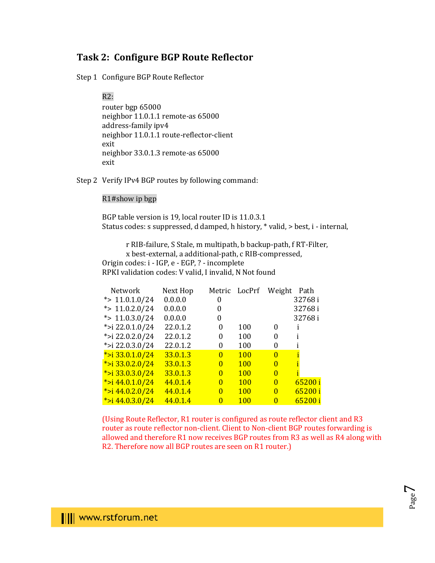## **Task 2: Configure BGP Route Reflector**

Step 1 Configure BGP Route Reflector

#### R2:

router bgp 65000 neighbor 11.0.1.1 remote-as 65000 address-family ipv4 neighbor 11.0.1.1 route-reflector-client exit neighbor 33.0.1.3 remote-as 65000 exit

Step 2 Verify IPv4 BGP routes by following command:

#### R1#show ip bgp

BGP table version is 19, local router ID is 11.0.3.1 Status codes: s suppressed, d damped, h history, \* valid, > best, i - internal,

 r RIB-failure, S Stale, m multipath, b backup-path, f RT-Filter, x best-external, a additional-path, c RIB-compressed, Origin codes: i - IGP, e - EGP, ? - incomplete RPKI validation codes: V valid, I invalid, N Not found

| Network             | Next Hop |              | Metric LocPrf | Weight       | Path    |
|---------------------|----------|--------------|---------------|--------------|---------|
| *> $11.0.1.0/24$    | 0.0.0.0  | 0            |               |              | 32768i  |
| *> $11.0.2.0/24$    | 0.0.0.0  | 0            |               |              | 32768i  |
| *> $11.0.3.0/24$    | 0.0.0.0  | 0            |               |              | 32768i  |
| *>i 22.0.1.0/24     | 22.0.1.2 | 0            | 100           | 0            |         |
| *>i 22.0.2.0/24     | 22.0.1.2 | 0            | 100           | 0            |         |
| *>i 22.0.3.0/24     | 22.0.1.2 | 0            | 100           | 0            |         |
| *>i 33.0.1.0/24     | 33.0.1.3 | $\theta$     | <b>100</b>    | $\Omega$     |         |
| * $>$ i 33.0.2.0/24 | 33.0.1.3 | 0            | <b>100</b>    | 0            |         |
| * $>$ i 33.0.3.0/24 | 33.0.1.3 | $\mathbf{0}$ | <b>100</b>    | 0            |         |
| * $>i$ 44.0.1.0/24  | 44.0.1.4 | $\theta$     | <b>100</b>    | 0            | 65200 i |
| * $>i$ 44.0.2.0/24  | 44.0.1.4 | $\theta$     | <b>100</b>    | $\Omega$     | 65200 i |
| * $>i$ 44.0.3.0/24  | 44.0.1.4 | $\Omega$     | <b>100</b>    | $\mathbf{0}$ | 65200 i |

(Using Route Reflector, R1 router is configured as route reflector client and R3 router as route reflector non-client. Client to Non-client BGP routes forwarding is allowed and therefore R1 now receives BGP routes from R3 as well as R4 along with R2. Therefore now all BGP routes are seen on R1 router.)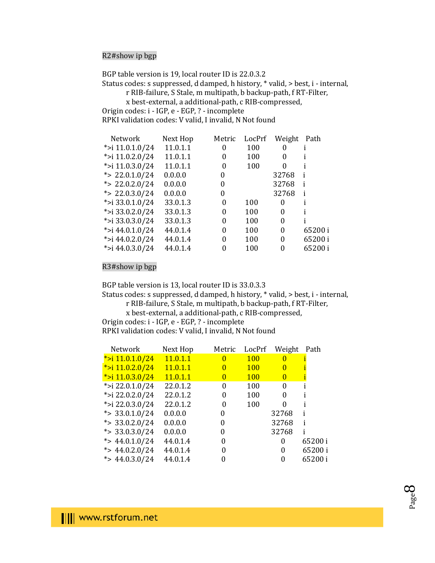#### R2#show ip bgp

BGP table version is 19, local router ID is 22.0.3.2

Status codes: s suppressed, d damped, h history, \* valid, > best, i - internal,

r RIB-failure, S Stale, m multipath, b backup-path, f RT-Filter,

x best-external, a additional-path, c RIB-compressed,

Origin codes: i - IGP, e - EGP, ? - incomplete

RPKI validation codes: V valid, I invalid, N Not found

| Network           | Next Hop | Metric   | LocPrf | Weight   | Path   |
|-------------------|----------|----------|--------|----------|--------|
| *>i 11.0.1.0/24   | 11.0.1.1 | $\theta$ | 100    | $\theta$ |        |
| *>i $11.0.2.0/24$ | 11.0.1.1 | 0        | 100    | 0        |        |
| *>i $11.0.3.0/24$ | 11.0.1.1 | 0        | 100    | 0        |        |
| *> $22.0.1.0/24$  | 0.0.0.0  | 0        |        | 32768    |        |
| *> $22.0.2.0/24$  | 0.0.0.0  | 0        |        | 32768    | i      |
| *> $22.0.3.0/24$  | 0.0.0.0  | 0        |        | 32768    | i      |
| *>i 33.0.1.0/24   | 33.0.1.3 | 0        | 100    | $\Omega$ |        |
| *>i 33.0.2.0/24   | 33.0.1.3 | $\Omega$ | 100    | 0        |        |
| *>i 33.0.3.0/24   | 33.0.1.3 | 0        | 100    | 0        |        |
| *>i 44.0.1.0/24   | 44.0.1.4 | 0        | 100    | 0        | 65200i |
| *>i 44.0.2.0/24   | 44.0.1.4 | 0        | 100    | 0        | 65200i |
| *>i 44.0.3.0/24   | 44.0.1.4 |          | 100    | 0        | 65200i |
|                   |          |          |        |          |        |

R3#show ip bgp

BGP table version is 13, local router ID is 33.0.3.3

Status codes: s suppressed, d damped, h history, \* valid, > best, i - internal,

 r RIB-failure, S Stale, m multipath, b backup-path, f RT-Filter, x best-external, a additional-path, c RIB-compressed,

Origin codes: i - IGP, e - EGP, ? - incomplete

RPKI validation codes: V valid, I invalid, N Not found

| Next Hop | Metric       | LocPrf     |              | Path    |
|----------|--------------|------------|--------------|---------|
| 11.0.1.1 | 0            | <b>100</b> | $\Omega$     |         |
| 11.0.1.1 | $\bf{0}$     | <b>100</b> | $\Omega$     |         |
| 11.0.1.1 | $\mathbf{0}$ | <b>100</b> | $\mathbf{0}$ |         |
| 22.0.1.2 | 0            | 100        | 0            |         |
| 22.0.1.2 | 0            | 100        | 0            |         |
| 22.0.1.2 | 0            | 100        | 0            |         |
| 0.0.0.0  | 0            |            | 32768        |         |
| 0.0.0.0  | 0            |            | 32768        |         |
| 0.0.0.0  | 0            |            | 32768        |         |
| 44.0.1.4 | $\Omega$     |            | $\Omega$     | 65200 i |
| 44.0.1.4 | 0            |            | 0            | 65200 i |
| 44.0.1.4 |              |            | 0            | 65200 i |
|          |              |            |              | Weight  |

Page  $\infty$